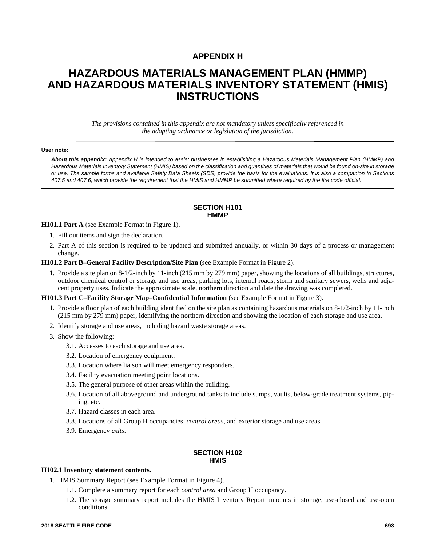# **APPENDIX H**

# **HAZARDOUS MATERIALS MANAGEMENT PLAN (HMMP) AND HAZARDOUS MATERIALS INVENTORY STATEMENT (HMIS) INSTRUCTIONS**

*The provisions contained in this appendix are not mandatory unless specifically referenced in the adopting ordinance or legislation of the jurisdiction.*

#### **User note:**

*About this appendix: Appendix H is intended to assist businesses in establishing a Hazardous Materials Management Plan (HMMP) and Hazardous Materials Inventory Statement (HMIS) based on the classification and quantities of materials that would be found on-site in storage or use. The sample forms and available Safety Data Sheets (SDS) provide the basis for the evaluations. It is also a companion to Sections 407.5 and 407.6, which provide the requirement that the HMIS and HMMP be submitted where required by the fire code official.*

#### **SECTION H101 HMMP**

**H101.1 Part A** (see Example Format in Figure 1).

- 1. Fill out items and sign the declaration.
- 2. Part A of this section is required to be updated and submitted annually, or within 30 days of a process or management change.

**H101.2 Part B–General Facility Description/Site Plan** (see Example Format in Figure 2).

1. Provide a site plan on 8-1/2-inch by 11-inch (215 mm by 279 mm) paper, showing the locations of all buildings, structures, outdoor chemical control or storage and use areas, parking lots, internal roads, storm and sanitary sewers, wells and adjacent property uses. Indicate the approximate scale, northern direction and date the drawing was completed.

**H101.3 Part C–Facility Storage Map–Confidential Information** (see Example Format in Figure 3).

- 1. Provide a floor plan of each building identified on the site plan as containing hazardous materials on 8-1/2-inch by 11-inch (215 mm by 279 mm) paper, identifying the northern direction and showing the location of each storage and use area.
- 2. Identify storage and use areas, including hazard waste storage areas.
- 3. Show the following:
	- 3.1. Accesses to each storage and use area.
	- 3.2. Location of emergency equipment.
	- 3.3. Location where liaison will meet emergency responders.
	- 3.4. Facility evacuation meeting point locations.
	- 3.5. The general purpose of other areas within the building.
	- 3.6. Location of all aboveground and underground tanks to include sumps, vaults, below-grade treatment systems, piping, etc.
	- 3.7. Hazard classes in each area.
	- 3.8. Locations of all Group H occupancies, *control areas*, and exterior storage and use areas.
	- 3.9. Emergency *exits*.

# **SECTION H102 HMIS**

### **H102.1 Inventory statement contents.**

1. HMIS Summary Report (see Example Format in Figure 4).

- 1.1. Complete a summary report for each *control area* and Group H occupancy.
- 1.2. The storage summary report includes the HMIS Inventory Report amounts in storage, use-closed and use-open conditions.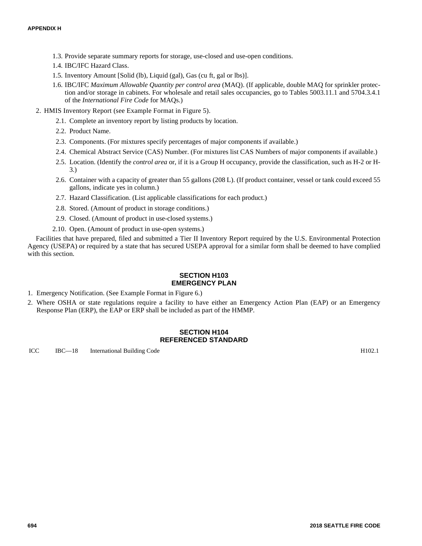- 1.3. Provide separate summary reports for storage, use-closed and use-open conditions.
- 1.4. IBC/IFC Hazard Class.
- 1.5. Inventory Amount [Solid (lb), Liquid (gal), Gas (cu ft, gal or lbs)].
- 1.6. IBC/IFC *Maximum Allowable Quantity per control area* (MAQ). (If applicable, double MAQ for sprinkler protection and/or storage in cabinets. For wholesale and retail sales occupancies, go to Tables 5003.11.1 and 5704.3.4.1 of the *International Fire Code* for MAQs.)
- 2. HMIS Inventory Report (see Example Format in Figure 5).
	- 2.1. Complete an inventory report by listing products by location.
	- 2.2. Product Name.
	- 2.3. Components. (For mixtures specify percentages of major components if available.)
	- 2.4. Chemical Abstract Service (CAS) Number. (For mixtures list CAS Numbers of major components if available.)
	- 2.5. Location. (Identify the *control area* or, if it is a Group H occupancy, provide the classification, such as H-2 or H-3.)
	- 2.6. Container with a capacity of greater than 55 gallons (208 L). (If product container, vessel or tank could exceed 55 gallons, indicate yes in column.)
	- 2.7. Hazard Classification. (List applicable classifications for each product.)
	- 2.8. Stored. (Amount of product in storage conditions.)
	- 2.9. Closed. (Amount of product in use-closed systems.)
	- 2.10. Open. (Amount of product in use-open systems.)

Facilities that have prepared, filed and submitted a Tier II Inventory Report required by the U.S. Environmental Protection Agency (USEPA) or required by a state that has secured USEPA approval for a similar form shall be deemed to have complied with this section.

## **SECTION H103 EMERGENCY PLAN**

- 1. Emergency Notification. (See Example Format in Figure 6.)
- 2. Where OSHA or state regulations require a facility to have either an Emergency Action Plan (EAP) or an Emergency Response Plan (ERP), the EAP or ERP shall be included as part of the HMMP.

### **SECTION H104 REFERENCED STANDARD**

ICC IBC—18 International Building Code H102.1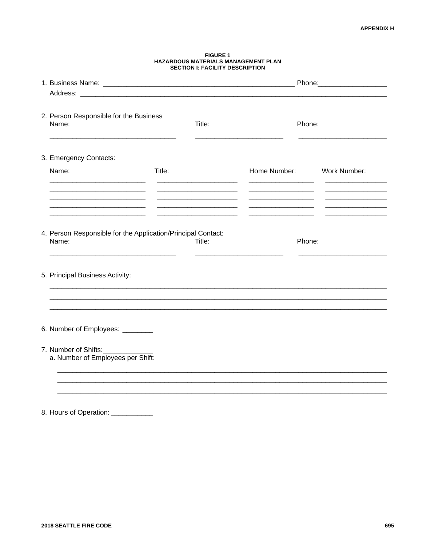|                                                                       |        | <b>SECTION I: FACILITY DESCRIPTION</b> |                           |        |  |  |  |  |  |  |
|-----------------------------------------------------------------------|--------|----------------------------------------|---------------------------|--------|--|--|--|--|--|--|
|                                                                       |        |                                        |                           |        |  |  |  |  |  |  |
| 2. Person Responsible for the Business<br>Name:                       |        | Title:                                 |                           | Phone: |  |  |  |  |  |  |
| 3. Emergency Contacts:                                                |        |                                        |                           |        |  |  |  |  |  |  |
| Name:                                                                 | Title: |                                        | Home Number: Work Number: |        |  |  |  |  |  |  |
|                                                                       |        |                                        |                           |        |  |  |  |  |  |  |
|                                                                       |        |                                        |                           |        |  |  |  |  |  |  |
| 4. Person Responsible for the Application/Principal Contact:<br>Name: |        | Title:                                 | Phone:                    |        |  |  |  |  |  |  |
| 5. Principal Business Activity:                                       |        |                                        |                           |        |  |  |  |  |  |  |
|                                                                       |        |                                        |                           |        |  |  |  |  |  |  |
| 6. Number of Employees: ________                                      |        |                                        |                           |        |  |  |  |  |  |  |
| 7. Number of Shifts:<br>a. Number of Employees per Shift:             |        |                                        |                           |        |  |  |  |  |  |  |
|                                                                       |        |                                        |                           |        |  |  |  |  |  |  |
|                                                                       |        |                                        |                           |        |  |  |  |  |  |  |

# FIGURE 1<br>HAZARDOUS MATERIALS MANAGEMENT PLAN

8. Hours of Operation: \_\_\_\_\_\_\_\_\_\_\_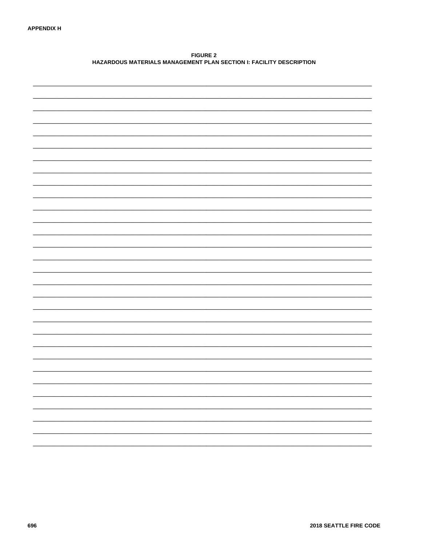**FIGURE 2** HAZARDOUS MATERIALS MANAGEMENT PLAN SECTION I: FACILITY DESCRIPTION

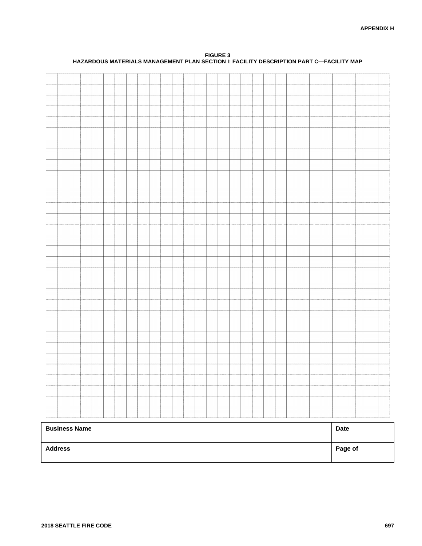| <b>Address</b>       |  |  |  |  |  |  |  |  |  |  |  |             | Page of |  |  |
|----------------------|--|--|--|--|--|--|--|--|--|--|--|-------------|---------|--|--|
| <b>Business Name</b> |  |  |  |  |  |  |  |  |  |  |  | <b>Date</b> |         |  |  |
|                      |  |  |  |  |  |  |  |  |  |  |  |             |         |  |  |
|                      |  |  |  |  |  |  |  |  |  |  |  |             |         |  |  |
|                      |  |  |  |  |  |  |  |  |  |  |  |             |         |  |  |
|                      |  |  |  |  |  |  |  |  |  |  |  |             |         |  |  |
|                      |  |  |  |  |  |  |  |  |  |  |  |             |         |  |  |
|                      |  |  |  |  |  |  |  |  |  |  |  |             |         |  |  |
|                      |  |  |  |  |  |  |  |  |  |  |  |             |         |  |  |
|                      |  |  |  |  |  |  |  |  |  |  |  |             |         |  |  |
|                      |  |  |  |  |  |  |  |  |  |  |  |             |         |  |  |
|                      |  |  |  |  |  |  |  |  |  |  |  |             |         |  |  |
|                      |  |  |  |  |  |  |  |  |  |  |  |             |         |  |  |
|                      |  |  |  |  |  |  |  |  |  |  |  |             |         |  |  |
|                      |  |  |  |  |  |  |  |  |  |  |  |             |         |  |  |
|                      |  |  |  |  |  |  |  |  |  |  |  |             |         |  |  |
|                      |  |  |  |  |  |  |  |  |  |  |  |             |         |  |  |
|                      |  |  |  |  |  |  |  |  |  |  |  |             |         |  |  |
|                      |  |  |  |  |  |  |  |  |  |  |  |             |         |  |  |
|                      |  |  |  |  |  |  |  |  |  |  |  |             |         |  |  |
|                      |  |  |  |  |  |  |  |  |  |  |  |             |         |  |  |
|                      |  |  |  |  |  |  |  |  |  |  |  |             |         |  |  |
|                      |  |  |  |  |  |  |  |  |  |  |  |             |         |  |  |
|                      |  |  |  |  |  |  |  |  |  |  |  |             |         |  |  |
|                      |  |  |  |  |  |  |  |  |  |  |  |             |         |  |  |
|                      |  |  |  |  |  |  |  |  |  |  |  |             |         |  |  |
|                      |  |  |  |  |  |  |  |  |  |  |  |             |         |  |  |
|                      |  |  |  |  |  |  |  |  |  |  |  |             |         |  |  |
|                      |  |  |  |  |  |  |  |  |  |  |  |             |         |  |  |
|                      |  |  |  |  |  |  |  |  |  |  |  |             |         |  |  |
|                      |  |  |  |  |  |  |  |  |  |  |  |             |         |  |  |
|                      |  |  |  |  |  |  |  |  |  |  |  |             |         |  |  |

**FIGURE 3 HAZARDOUS MATERIALS MANAGEMENT PLAN SECTION I: FACILITY DESCRIPTION PART C—FACILITY MAP**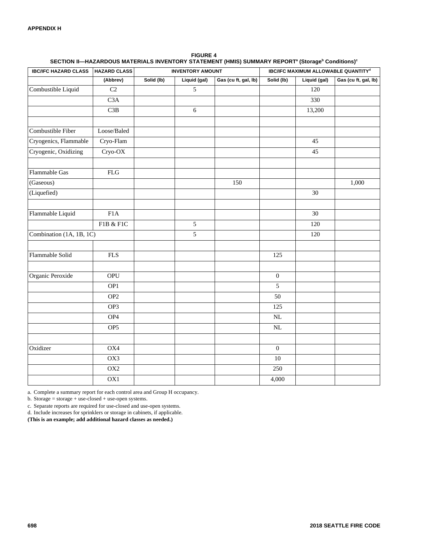| <b>IBC/IFC HAZARD CLASS</b> | <b>HAZARD CLASS</b>         |            | <b>INVENTORY AMOUNT</b> |                      | <b>IBC/IFC MAXIMUM ALLOWABLE QUANTITYd</b> |              |                      |  |  |  |  |
|-----------------------------|-----------------------------|------------|-------------------------|----------------------|--------------------------------------------|--------------|----------------------|--|--|--|--|
|                             | (Abbrev)                    | Solid (lb) | Liquid (gal)            | Gas (cu ft, gal, lb) | Solid (lb)                                 | Liquid (gal) | Gas (cu ft, gal, lb) |  |  |  |  |
| Combustible Liquid          | C2                          |            | 5                       |                      |                                            | 120          |                      |  |  |  |  |
|                             | C <sub>3</sub> A            |            |                         |                      |                                            | 330          |                      |  |  |  |  |
|                             | C3B                         |            | 6                       |                      |                                            | 13,200       |                      |  |  |  |  |
|                             |                             |            |                         |                      |                                            |              |                      |  |  |  |  |
| Combustible Fiber           | Loose/Baled                 |            |                         |                      |                                            |              |                      |  |  |  |  |
| Cryogenics, Flammable       | Cryo-Flam                   |            |                         |                      |                                            | 45           |                      |  |  |  |  |
| Cryogenic, Oxidizing        | Cryo-OX                     |            |                         |                      |                                            | 45           |                      |  |  |  |  |
| Flammable Gas               | $\mathop{\rm FLG}\nolimits$ |            |                         |                      |                                            |              |                      |  |  |  |  |
| (Gaseous)                   |                             |            |                         | 150                  |                                            |              | 1,000                |  |  |  |  |
| (Liquefied)                 |                             |            |                         |                      |                                            | 30           |                      |  |  |  |  |
|                             |                             |            |                         |                      |                                            |              |                      |  |  |  |  |
| Flammable Liquid            | F1A                         |            |                         |                      |                                            | 30           |                      |  |  |  |  |
|                             | F1B & F1C                   |            | 5                       |                      |                                            | 120          |                      |  |  |  |  |
| Combination (1A, 1B, 1C)    |                             |            | 5                       |                      |                                            | 120          |                      |  |  |  |  |
|                             |                             |            |                         |                      |                                            |              |                      |  |  |  |  |
| Flammable Solid             | <b>FLS</b>                  |            |                         |                      | 125                                        |              |                      |  |  |  |  |
|                             |                             |            |                         |                      |                                            |              |                      |  |  |  |  |
| Organic Peroxide            | <b>OPU</b>                  |            |                         |                      | $\boldsymbol{0}$                           |              |                      |  |  |  |  |
|                             | OP1                         |            |                         |                      | 5                                          |              |                      |  |  |  |  |
|                             | OP <sub>2</sub>             |            |                         |                      | 50                                         |              |                      |  |  |  |  |
|                             | OP3                         |            |                         |                      | 125                                        |              |                      |  |  |  |  |
|                             | OP4                         |            |                         |                      | NL                                         |              |                      |  |  |  |  |
|                             | OP <sub>5</sub>             |            |                         |                      | $\rm NL$                                   |              |                      |  |  |  |  |
|                             |                             |            |                         |                      |                                            |              |                      |  |  |  |  |
| Oxidizer                    | OX4                         |            |                         |                      | $\boldsymbol{0}$                           |              |                      |  |  |  |  |
|                             | OX3                         |            |                         |                      | $10\,$                                     |              |                      |  |  |  |  |
|                             | $\overline{OX2}$            |            |                         |                      | 250                                        |              |                      |  |  |  |  |
|                             | OX1                         |            |                         |                      | 4,000                                      |              |                      |  |  |  |  |

**FIGURE 4 SECTION II—HAZARDOUS MATERIALS INVENTORY STATEMENT (HMIS) SUMMARY REPORT<sup>a</sup> (Storage<sup>b</sup> Conditions)<sup>c</sup>**

a. Complete a summary report for each control area and Group H occupancy.

b. Storage = storage + use-closed + use-open systems.

c. Separate reports are required for use-closed and use-open systems.

d. Include increases for sprinklers or storage in cabinets, if applicable.

**(This is an example; add additional hazard classes as needed.)**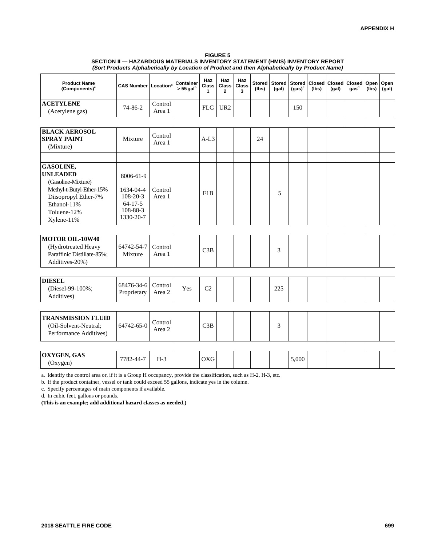#### **FIGURE 5 SECTION II — HAZARDOUS MATERIALS INVENTORY STATEMENT (HMIS) INVENTORY REPORT** *(Sort Products Alphabetically by Location of Product and then Alphabetically by Product Name)*

| <b>Product Name</b><br>(Components) <sup>c</sup>                                                                                                   | <b>CAS Number Location</b> <sup>ª</sup>                                            |                   | Container<br>$> 55$ gal <sup>b</sup> | Haz<br>Class<br>1 | Haz<br><b>Class</b><br>$\mathbf{2}$ | Haz<br><b>Class</b><br>3 | <b>Stored</b><br>(lbs) | <b>Stored</b><br>(gal) | <b>Stored</b><br>$(gas)^d$ | Closed<br>(lbs) | Closed<br>(gal) | <b>Closed</b><br>gas <sup>d</sup> | Open<br>(lbs) | Open<br>(gal) |
|----------------------------------------------------------------------------------------------------------------------------------------------------|------------------------------------------------------------------------------------|-------------------|--------------------------------------|-------------------|-------------------------------------|--------------------------|------------------------|------------------------|----------------------------|-----------------|-----------------|-----------------------------------|---------------|---------------|
| <b>ACETYLENE</b><br>(Acetylene gas)                                                                                                                | $74 - 86 - 2$                                                                      | Control<br>Area 1 |                                      | <b>FLG</b>        | UR <sub>2</sub>                     |                          |                        |                        | 150                        |                 |                 |                                   |               |               |
|                                                                                                                                                    |                                                                                    |                   |                                      |                   |                                     |                          |                        |                        |                            |                 |                 |                                   |               |               |
| <b>BLACK AEROSOL</b><br><b>SPRAY PAINT</b><br>(Mixture)                                                                                            | Mixture                                                                            | Control<br>Area 1 |                                      | $A-I.3$           |                                     |                          | 24                     |                        |                            |                 |                 |                                   |               |               |
|                                                                                                                                                    |                                                                                    |                   |                                      |                   |                                     |                          |                        |                        |                            |                 |                 |                                   |               |               |
| GASOLINE,<br><b>UNLEADED</b><br>(Gasoline-Mixture)<br>Methyl-t-Butyl-Ether-15%<br>Diisopropyl Ether-7%<br>Ethanol-11%<br>Toluene-12%<br>Xylene-11% | 8006-61-9<br>1634-04-4<br>$108 - 20 - 3$<br>$64 - 17 - 5$<br>108-88-3<br>1330-20-7 | Control<br>Area 1 |                                      | F1B               |                                     |                          |                        | 5                      |                            |                 |                 |                                   |               |               |
|                                                                                                                                                    |                                                                                    |                   |                                      |                   |                                     |                          |                        |                        |                            |                 |                 |                                   |               |               |
| <b>MOTOR OIL-10W40</b><br>(Hydrotreated Heavy<br>Paraffinic Distillate-85%;<br>Additives-20%)                                                      | 64742-54-7<br>Mixture                                                              | Control<br>Area 1 |                                      | C3B               |                                     |                          |                        | 3                      |                            |                 |                 |                                   |               |               |
|                                                                                                                                                    |                                                                                    |                   |                                      |                   |                                     |                          |                        |                        |                            |                 |                 |                                   |               |               |
| <b>DIESEL</b><br>(Diesel-99-100%;<br>Additives)                                                                                                    | 68476-34-6<br>Proprietary                                                          | Control<br>Area 2 | Yes                                  | C <sub>2</sub>    |                                     |                          |                        | 225                    |                            |                 |                 |                                   |               |               |
|                                                                                                                                                    |                                                                                    |                   |                                      |                   |                                     |                          |                        |                        |                            |                 |                 |                                   |               |               |
| <b>TRANSMISSION FLUID</b><br>(Oil-Solvent-Neutral;<br>Performance Additives)                                                                       | 64742-65-0                                                                         | Control<br>Area 2 |                                      | C3B               |                                     |                          |                        | 3                      |                            |                 |                 |                                   |               |               |
|                                                                                                                                                    |                                                                                    |                   |                                      |                   |                                     |                          |                        |                        |                            |                 |                 |                                   |               |               |
| OXYGEN, GAS<br>(Oxygen)                                                                                                                            | 7782-44-7                                                                          | $H-3$             |                                      | <b>OXG</b>        |                                     |                          |                        |                        | 5,000                      |                 |                 |                                   |               |               |
|                                                                                                                                                    |                                                                                    |                   |                                      |                   |                                     |                          |                        |                        |                            |                 |                 |                                   |               |               |

a. Identify the control area or, if it is a Group H occupancy, provide the classification, such as H-2, H-3, etc.

b. If the product container, vessel or tank could exceed 55 gallons, indicate yes in the column.

c. Specify percentages of main components if available.

d. In cubic feet, gallons or pounds.

**(This is an example; add additional hazard classes as needed.)**